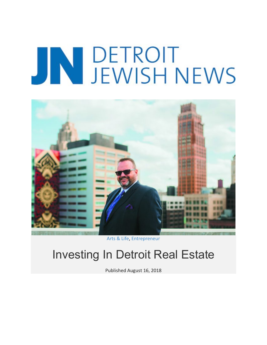## JN DETROIT<br>JEWISH NEWS



Arts & Life, Entrepreneur

## Investing In Detroit Real Estate

Published August 16, 2018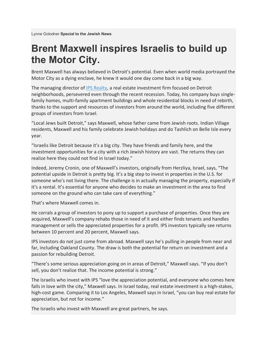## **Brent Maxwell inspires Israelis to build up the Motor City.**

Brent Maxwell has always believed in Detroit's potential. Even when world media portrayed the Motor City as a dying enclave, he knew it would one day come back in a big way.

The managing director of IPS Realty, a real estate investment firm focused on Detroit neighborhoods, persevered even through the recent recession. Today, his company buys singlefamily homes, multi-family apartment buildings and whole residential blocks in need of rebirth, thanks to the support and resources of investors from around the world, including five different groups of investors from Israel.

"Local Jews built Detroit," says Maxwell, whose father came from Jewish roots. Indian Village residents, Maxwell and his family celebrate Jewish holidays and do Tashlich on Belle Isle every year.

"Israelis like Detroit because it's a big city. They have friends and family here, and the investment opportunities for a city with a rich Jewish history are vast. The returns they can realize here they could not find in Israel today."

Indeed, Jeremy Cronin, one of Maxwell's investors, originally from Herzliya, Israel, says, "The potential upside in Detroit is pretty big. It's a big step to invest in properties in the U.S. for someone who's not living there. The challenge is in actually managing the property, especially if it's a rental. It's essential for anyone who decides to make an investment in the area to find someone on the ground who can take care of everything."

That's where Maxwell comes in.

He corrals a group of investors to pony up to support a purchase of properties. Once they are acquired, Maxwell's company rehabs those in need of it and either finds tenants and handles management or sells the appreciated properties for a profit. IPS investors typically see returns between 10 percent and 20 percent, Maxwell says.

IPS investors do not just come from abroad. Maxwell says he's pulling in people from near and far, including Oakland County. The draw is both the potential for return on investment and a passion for rebuilding Detroit.

"There's some serious appreciation going on in areas of Detroit," Maxwell says. "If you don't sell, you don't realize that. The income potential is strong."

The Israelis who invest with IPS "love the appreciation potential, and everyone who comes here falls in love with the city," Maxwell says. In Israel today, real estate investment is a high-stakes, high-cost game. Comparing it to Los Angeles, Maxwell says in Israel, "you can buy real estate for appreciation, but not for income."

The Israelis who invest with Maxwell are great partners, he says.